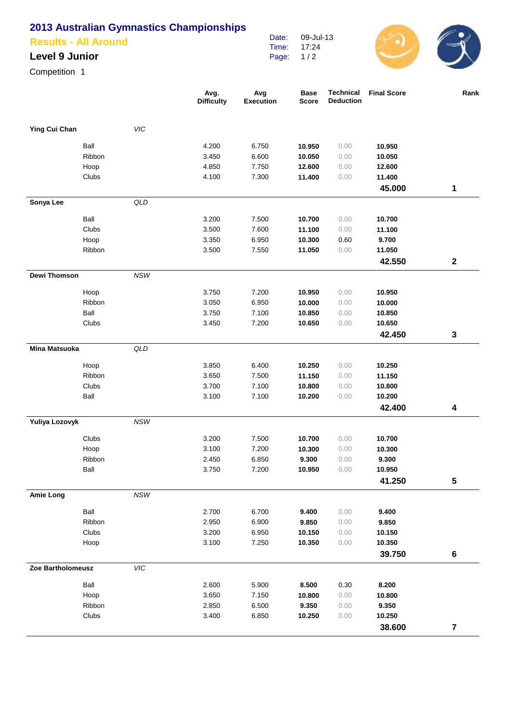# **2013 Australian Gymnastics Championships**

#### **Results - All Around**

## **Level 9 Junior**

Competition 1

|                      |        |            | Avg.<br><b>Difficulty</b> | Avg<br><b>Execution</b> | <b>Base</b><br><b>Score</b> | <b>Technical</b><br><b>Deduction</b> | <b>Final Score</b> | Rank             |
|----------------------|--------|------------|---------------------------|-------------------------|-----------------------------|--------------------------------------|--------------------|------------------|
|                      |        |            |                           |                         |                             |                                      |                    |                  |
| Ying Cui Chan        |        | <b>VIC</b> |                           |                         |                             |                                      |                    |                  |
|                      | Ball   |            | 4.200                     | 6.750                   | 10.950                      | 0.00                                 | 10.950             |                  |
|                      | Ribbon |            | 3.450                     | 6.600                   | 10.050                      | 0.00                                 | 10.050             |                  |
|                      | Hoop   |            | 4.850                     | 7.750                   | 12.600                      | 0.00                                 | 12.600             |                  |
|                      | Clubs  |            | 4.100                     | 7.300                   | 11.400                      | 0.00                                 | 11.400             |                  |
|                      |        |            |                           |                         |                             |                                      | 45.000             | 1                |
| Sonya Lee            |        | QLD        |                           |                         |                             |                                      |                    |                  |
|                      | Ball   |            | 3.200                     | 7.500                   | 10.700                      | 0.00                                 | 10.700             |                  |
|                      | Clubs  |            | 3.500                     | 7.600                   | 11.100                      | 0.00                                 | 11.100             |                  |
|                      | Hoop   |            | 3.350                     | 6.950                   | 10.300                      | 0.60                                 | 9.700              |                  |
|                      | Ribbon |            | 3.500                     | 7.550                   | 11.050                      | 0.00                                 | 11.050             |                  |
|                      |        |            |                           |                         |                             |                                      | 42.550             | $\boldsymbol{2}$ |
| Dewi Thomson         |        | NSW        |                           |                         |                             |                                      |                    |                  |
|                      | Hoop   |            | 3.750                     | 7.200                   | 10.950                      | 0.00                                 | 10.950             |                  |
|                      | Ribbon |            | 3.050                     | 6.950                   | 10.000                      | 0.00                                 | 10.000             |                  |
|                      | Ball   |            | 3.750                     | 7.100                   | 10.850                      | 0.00                                 | 10.850             |                  |
|                      | Clubs  |            | 3.450                     | 7.200                   | 10.650                      | 0.00                                 | 10.650             |                  |
|                      |        |            |                           |                         |                             |                                      | 42.450             | 3                |
| <b>Mina Matsuoka</b> |        | QLD        |                           |                         |                             |                                      |                    |                  |
|                      | Hoop   |            | 3.850                     | 6.400                   | 10.250                      | 0.00                                 | 10.250             |                  |
|                      | Ribbon |            | 3.650                     | 7.500                   | 11.150                      | 0.00                                 | 11.150             |                  |
|                      | Clubs  |            | 3.700                     | 7.100                   | 10.800                      | 0.00                                 | 10.800             |                  |
|                      | Ball   |            | 3.100                     | 7.100                   | 10.200                      | 0.00                                 | 10.200             |                  |
|                      |        |            |                           |                         |                             |                                      | 42.400             | 4                |
| Yuliya Lozovyk       |        | $NSW$      |                           |                         |                             |                                      |                    |                  |
|                      | Clubs  |            | 3.200                     | 7.500                   | 10.700                      | 0.00                                 | 10.700             |                  |
|                      | Hoop   |            | 3.100                     | 7.200                   | 10.300                      | 0.00                                 | 10.300             |                  |
|                      | Ribbon |            | 2.450                     | 6.850                   | 9.300                       | 0.00                                 | 9.300              |                  |
|                      | Ball   |            | 3.750                     | 7.200                   | 10.950                      | 0.00                                 | 10.950             |                  |
|                      |        |            |                           |                         |                             |                                      | 41.250             | ${\bf 5}$        |
| <b>Amie Long</b>     |        | $NSW$      |                           |                         |                             |                                      |                    |                  |
|                      | Ball   |            | 2.700                     | 6.700                   | 9.400                       | 0.00                                 | 9.400              |                  |
|                      | Ribbon |            | 2.950                     | 6.900                   | 9.850                       | 0.00                                 | 9.850              |                  |
|                      | Clubs  |            | 3.200                     | 6.950                   | 10.150                      | 0.00                                 | 10.150             |                  |
|                      | Hoop   |            | 3.100                     | 7.250                   | 10.350                      | 0.00                                 | 10.350             |                  |
|                      |        |            |                           |                         |                             |                                      | 39.750             | $\bf 6$          |
| Zoe Bartholomeusz    |        | VIC        |                           |                         |                             |                                      |                    |                  |
|                      | Ball   |            | 2.600                     | 5.900                   | 8.500                       | 0.30                                 | 8.200              |                  |
|                      | Hoop   |            | 3.650                     | 7.150                   | 10.800                      | 0.00                                 | 10.800             |                  |
|                      | Ribbon |            | 2.850                     | 6.500                   | 9.350                       | 0.00                                 | 9.350              |                  |
|                      | Clubs  |            | 3.400                     | 6.850                   | 10.250                      | 0.00                                 | 10.250             |                  |
|                      |        |            |                           |                         |                             |                                      | 38.600             | $\overline{7}$   |

Date: Time: Page: 09-Jul-13 17:24 1 / 2

 $\begin{pmatrix} 0 \\ 0 \end{pmatrix}$